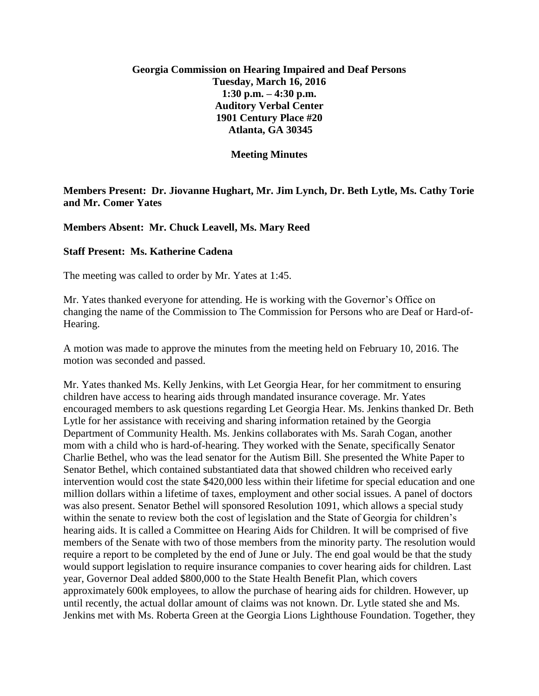## **Georgia Commission on Hearing Impaired and Deaf Persons Tuesday, March 16, 2016 1:30 p.m. – 4:30 p.m. Auditory Verbal Center 1901 Century Place #20 Atlanta, GA 30345**

**Meeting Minutes**

## **Members Present: Dr. Jiovanne Hughart, Mr. Jim Lynch, Dr. Beth Lytle, Ms. Cathy Torie and Mr. Comer Yates**

## **Members Absent: Mr. Chuck Leavell, Ms. Mary Reed**

## **Staff Present: Ms. Katherine Cadena**

The meeting was called to order by Mr. Yates at 1:45.

Mr. Yates thanked everyone for attending. He is working with the Governor's Office on changing the name of the Commission to The Commission for Persons who are Deaf or Hard-of-Hearing.

A motion was made to approve the minutes from the meeting held on February 10, 2016. The motion was seconded and passed.

Mr. Yates thanked Ms. Kelly Jenkins, with Let Georgia Hear, for her commitment to ensuring children have access to hearing aids through mandated insurance coverage. Mr. Yates encouraged members to ask questions regarding Let Georgia Hear. Ms. Jenkins thanked Dr. Beth Lytle for her assistance with receiving and sharing information retained by the Georgia Department of Community Health. Ms. Jenkins collaborates with Ms. Sarah Cogan, another mom with a child who is hard-of-hearing. They worked with the Senate, specifically Senator Charlie Bethel, who was the lead senator for the Autism Bill. She presented the White Paper to Senator Bethel, which contained substantiated data that showed children who received early intervention would cost the state \$420,000 less within their lifetime for special education and one million dollars within a lifetime of taxes, employment and other social issues. A panel of doctors was also present. Senator Bethel will sponsored Resolution 1091, which allows a special study within the senate to review both the cost of legislation and the State of Georgia for children's hearing aids. It is called a Committee on Hearing Aids for Children. It will be comprised of five members of the Senate with two of those members from the minority party. The resolution would require a report to be completed by the end of June or July. The end goal would be that the study would support legislation to require insurance companies to cover hearing aids for children. Last year, Governor Deal added \$800,000 to the State Health Benefit Plan, which covers approximately 600k employees, to allow the purchase of hearing aids for children. However, up until recently, the actual dollar amount of claims was not known. Dr. Lytle stated she and Ms. Jenkins met with Ms. Roberta Green at the Georgia Lions Lighthouse Foundation. Together, they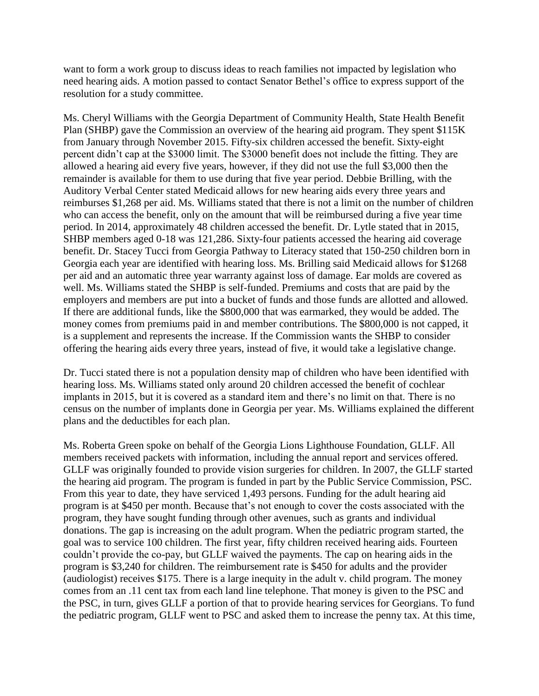want to form a work group to discuss ideas to reach families not impacted by legislation who need hearing aids. A motion passed to contact Senator Bethel's office to express support of the resolution for a study committee.

Ms. Cheryl Williams with the Georgia Department of Community Health, State Health Benefit Plan (SHBP) gave the Commission an overview of the hearing aid program. They spent \$115K from January through November 2015. Fifty-six children accessed the benefit. Sixty-eight percent didn't cap at the \$3000 limit. The \$3000 benefit does not include the fitting. They are allowed a hearing aid every five years, however, if they did not use the full \$3,000 then the remainder is available for them to use during that five year period. Debbie Brilling, with the Auditory Verbal Center stated Medicaid allows for new hearing aids every three years and reimburses \$1,268 per aid. Ms. Williams stated that there is not a limit on the number of children who can access the benefit, only on the amount that will be reimbursed during a five year time period. In 2014, approximately 48 children accessed the benefit. Dr. Lytle stated that in 2015, SHBP members aged 0-18 was 121,286. Sixty-four patients accessed the hearing aid coverage benefit. Dr. Stacey Tucci from Georgia Pathway to Literacy stated that 150-250 children born in Georgia each year are identified with hearing loss. Ms. Brilling said Medicaid allows for \$1268 per aid and an automatic three year warranty against loss of damage. Ear molds are covered as well. Ms. Williams stated the SHBP is self-funded. Premiums and costs that are paid by the employers and members are put into a bucket of funds and those funds are allotted and allowed. If there are additional funds, like the \$800,000 that was earmarked, they would be added. The money comes from premiums paid in and member contributions. The \$800,000 is not capped, it is a supplement and represents the increase. If the Commission wants the SHBP to consider offering the hearing aids every three years, instead of five, it would take a legislative change.

Dr. Tucci stated there is not a population density map of children who have been identified with hearing loss. Ms. Williams stated only around 20 children accessed the benefit of cochlear implants in 2015, but it is covered as a standard item and there's no limit on that. There is no census on the number of implants done in Georgia per year. Ms. Williams explained the different plans and the deductibles for each plan.

Ms. Roberta Green spoke on behalf of the Georgia Lions Lighthouse Foundation, GLLF. All members received packets with information, including the annual report and services offered. GLLF was originally founded to provide vision surgeries for children. In 2007, the GLLF started the hearing aid program. The program is funded in part by the Public Service Commission, PSC. From this year to date, they have serviced 1,493 persons. Funding for the adult hearing aid program is at \$450 per month. Because that's not enough to cover the costs associated with the program, they have sought funding through other avenues, such as grants and individual donations. The gap is increasing on the adult program. When the pediatric program started, the goal was to service 100 children. The first year, fifty children received hearing aids. Fourteen couldn't provide the co-pay, but GLLF waived the payments. The cap on hearing aids in the program is \$3,240 for children. The reimbursement rate is \$450 for adults and the provider (audiologist) receives \$175. There is a large inequity in the adult v. child program. The money comes from an .11 cent tax from each land line telephone. That money is given to the PSC and the PSC, in turn, gives GLLF a portion of that to provide hearing services for Georgians. To fund the pediatric program, GLLF went to PSC and asked them to increase the penny tax. At this time,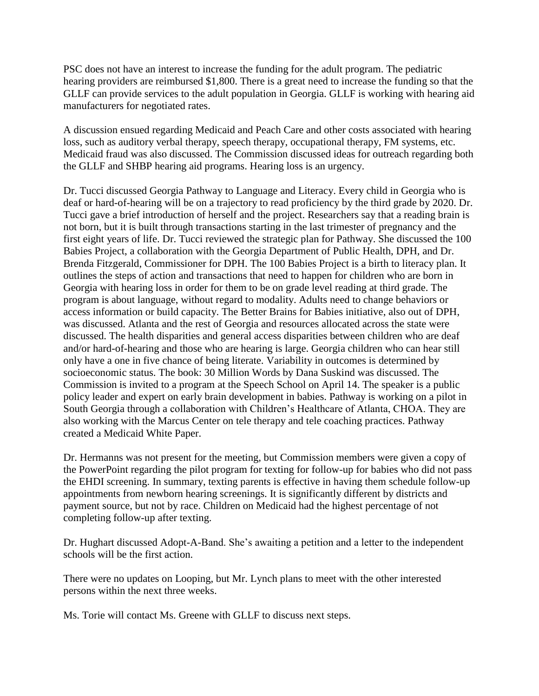PSC does not have an interest to increase the funding for the adult program. The pediatric hearing providers are reimbursed \$1,800. There is a great need to increase the funding so that the GLLF can provide services to the adult population in Georgia. GLLF is working with hearing aid manufacturers for negotiated rates.

A discussion ensued regarding Medicaid and Peach Care and other costs associated with hearing loss, such as auditory verbal therapy, speech therapy, occupational therapy, FM systems, etc. Medicaid fraud was also discussed. The Commission discussed ideas for outreach regarding both the GLLF and SHBP hearing aid programs. Hearing loss is an urgency.

Dr. Tucci discussed Georgia Pathway to Language and Literacy. Every child in Georgia who is deaf or hard-of-hearing will be on a trajectory to read proficiency by the third grade by 2020. Dr. Tucci gave a brief introduction of herself and the project. Researchers say that a reading brain is not born, but it is built through transactions starting in the last trimester of pregnancy and the first eight years of life. Dr. Tucci reviewed the strategic plan for Pathway. She discussed the 100 Babies Project, a collaboration with the Georgia Department of Public Health, DPH, and Dr. Brenda Fitzgerald, Commissioner for DPH. The 100 Babies Project is a birth to literacy plan. It outlines the steps of action and transactions that need to happen for children who are born in Georgia with hearing loss in order for them to be on grade level reading at third grade. The program is about language, without regard to modality. Adults need to change behaviors or access information or build capacity. The Better Brains for Babies initiative, also out of DPH, was discussed. Atlanta and the rest of Georgia and resources allocated across the state were discussed. The health disparities and general access disparities between children who are deaf and/or hard-of-hearing and those who are hearing is large. Georgia children who can hear still only have a one in five chance of being literate. Variability in outcomes is determined by socioeconomic status. The book: 30 Million Words by Dana Suskind was discussed. The Commission is invited to a program at the Speech School on April 14. The speaker is a public policy leader and expert on early brain development in babies. Pathway is working on a pilot in South Georgia through a collaboration with Children's Healthcare of Atlanta, CHOA. They are also working with the Marcus Center on tele therapy and tele coaching practices. Pathway created a Medicaid White Paper.

Dr. Hermanns was not present for the meeting, but Commission members were given a copy of the PowerPoint regarding the pilot program for texting for follow-up for babies who did not pass the EHDI screening. In summary, texting parents is effective in having them schedule follow-up appointments from newborn hearing screenings. It is significantly different by districts and payment source, but not by race. Children on Medicaid had the highest percentage of not completing follow-up after texting.

Dr. Hughart discussed Adopt-A-Band. She's awaiting a petition and a letter to the independent schools will be the first action.

There were no updates on Looping, but Mr. Lynch plans to meet with the other interested persons within the next three weeks.

Ms. Torie will contact Ms. Greene with GLLF to discuss next steps.